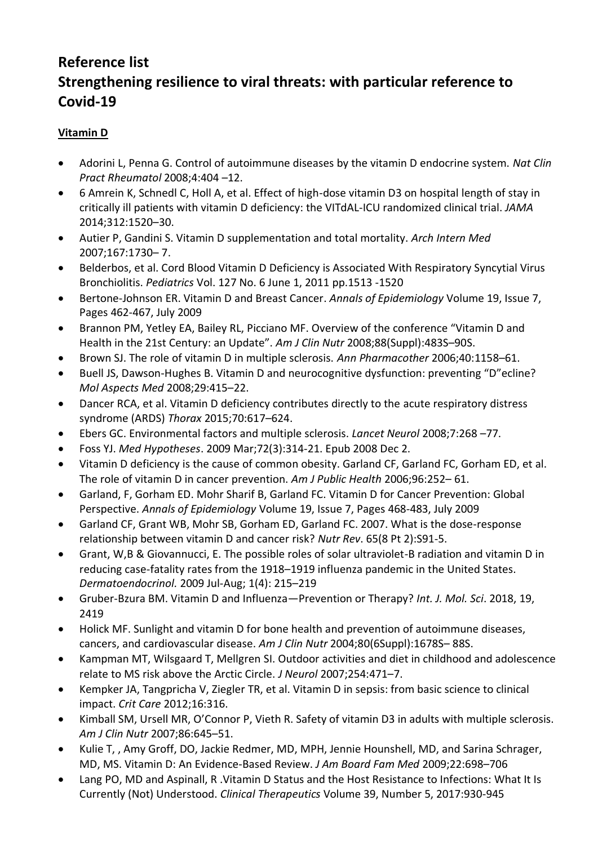## **Reference list Strengthening resilience to viral threats: with particular reference to Covid-19**

## **Vitamin D**

- Adorini L, Penna G. Control of autoimmune diseases by the vitamin D endocrine system. *Nat Clin Pract Rheumatol* 2008;4:404 –12.
- 6 Amrein K, Schnedl C, Holl A, et al. Effect of high-dose vitamin D3 on hospital length of stay in critically ill patients with vitamin D deficiency: the VITdAL-ICU randomized clinical trial. *JAMA* 2014;312:1520–30.
- Autier P, Gandini S. Vitamin D supplementation and total mortality. *Arch Intern Med* 2007;167:1730– 7.
- Belderbos, et al. Cord Blood Vitamin D Deficiency is Associated With Respiratory Syncytial Virus Bronchiolitis. *Pediatrics* Vol. 127 No. 6 June 1, 2011 pp.1513 -1520
- Bertone-Johnson ER. Vitamin D and Breast Cancer. *Annals of Epidemiology* Volume 19, Issue 7, Pages 462-467, July 2009
- Brannon PM, Yetley EA, Bailey RL, Picciano MF. Overview of the conference "Vitamin D and Health in the 21st Century: an Update". *Am J Clin Nutr* 2008;88(Suppl):483S–90S.
- Brown SJ. The role of vitamin D in multiple sclerosis. *Ann Pharmacother* 2006;40:1158–61.
- Buell JS, Dawson-Hughes B. Vitamin D and neurocognitive dysfunction: preventing "D"ecline? *Mol Aspects Med* 2008;29:415–22.
- Dancer RCA, et al. Vitamin D deficiency contributes directly to the acute respiratory distress syndrome (ARDS) *Thorax* 2015;70:617–624.
- Ebers GC. Environmental factors and multiple sclerosis. *Lancet Neurol* 2008;7:268 –77.
- Foss YJ. *Med Hypotheses*. 2009 Mar;72(3):314-21. Epub 2008 Dec 2.
- Vitamin D deficiency is the cause of common obesity. Garland CF, Garland FC, Gorham ED, et al. The role of vitamin D in cancer prevention. *Am J Public Health* 2006;96:252– 61.
- Garland, F, Gorham ED. Mohr Sharif B, Garland FC. Vitamin D for Cancer Prevention: Global Perspective. *Annals of Epidemiology* Volume 19, Issue 7, Pages 468-483, July 2009
- Garland CF, Grant WB, Mohr SB, Gorham ED, Garland FC. 2007. What is the dose-response relationship between vitamin D and cancer risk? *Nutr Rev*. 65(8 Pt 2):S91-5.
- Grant, W,B & Giovannucci, E. The possible roles of solar ultraviolet-B radiation and vitamin D in reducing case-fatality rates from the 1918–1919 influenza pandemic in the United States. *[Dermatoendocrinol.](https://www.ncbi.nlm.nih.gov/pmc/articles/PMC2835877/)* 2009 Jul-Aug; 1(4): 215–219
- Gruber-Bzura BM. Vitamin D and Influenza—Prevention or Therapy? *Int. J. Mol. Sci*. 2018, 19, 2419
- Holick MF. Sunlight and vitamin D for bone health and prevention of autoimmune diseases, cancers, and cardiovascular disease. *Am J Clin Nutr* 2004;80(6Suppl):1678S– 88S.
- Kampman MT, Wilsgaard T, Mellgren SI. Outdoor activities and diet in childhood and adolescence relate to MS risk above the Arctic Circle. *J Neurol* 2007;254:471–7.
- Kempker JA, Tangpricha V, Ziegler TR, et al. Vitamin D in sepsis: from basic science to clinical impact. *Crit Care* 2012;16:316.
- Kimball SM, Ursell MR, O'Connor P, Vieth R. Safety of vitamin D3 in adults with multiple sclerosis. *Am J Clin Nutr* 2007;86:645–51.
- Kulie T, , Amy Groff, DO, Jackie Redmer, MD, MPH, Jennie Hounshell, MD, and Sarina Schrager, MD, MS. Vitamin D: An Evidence-Based Review. *J Am Board Fam Med* 2009;22:698–706
- Lang PO, MD and Aspinall, R .Vitamin D Status and the Host Resistance to Infections: What It Is Currently (Not) Understood. *Clinical Therapeutics* Volume 39, Number 5, 2017:930-945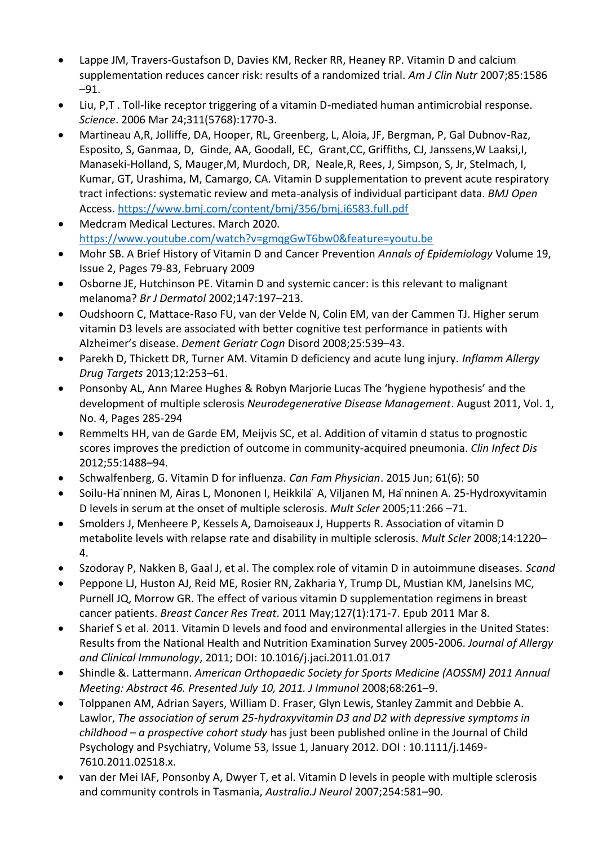- Lappe JM, Travers-Gustafson D, Davies KM, Recker RR, Heaney RP. Vitamin D and calcium supplementation reduces cancer risk: results of a randomized trial. *Am J Clin Nutr* 2007;85:1586 –91.
- Liu, P,T . Toll-like receptor triggering of a vitamin D-mediated human antimicrobial response. *Science*. 2006 Mar 24;311(5768):1770-3.
- Martineau A,R, Jolliffe, DA, Hooper, RL, Greenberg, L, Aloia, JF, Bergman, P, Gal Dubnov-Raz, Esposito, S, Ganmaa, D, Ginde, AA, Goodall, EC, Grant,CC, Griffiths, CJ, Janssens,W Laaksi,I, Manaseki-Holland, S, Mauger,M, Murdoch, DR, Neale,R, Rees, J, Simpson, S, Jr, Stelmach, I, Kumar, GT, Urashima, M, Camargo, CA. Vitamin D supplementation to prevent acute respiratory tract infections: systematic review and meta-analysis of individual participant data. *BMJ Open* Access.<https://www.bmj.com/content/bmj/356/bmj.i6583.full.pdf>
- Medcram Medical Lectures. March 2020. <https://www.youtube.com/watch?v=gmqgGwT6bw0&feature=youtu.be>
- Mohr SB. A Brief History of Vitamin D and Cancer Prevention *Annals of Epidemiology* Volume 19, Issue 2, Pages 79-83, February 2009
- Osborne JE, Hutchinson PE. Vitamin D and systemic cancer: is this relevant to malignant melanoma? *Br J Dermatol* 2002;147:197–213.
- Oudshoorn C, Mattace-Raso FU, van der Velde N, Colin EM, van der Cammen TJ. Higher serum vitamin D3 levels are associated with better cognitive test performance in patients with Alzheimer's disease. *Dement Geriatr Cogn* Disord 2008;25:539–43.
- Parekh D, Thickett DR, Turner AM. Vitamin D deficiency and acute lung injury. *Inflamm Allergy Drug Targets* 2013;12:253–61.
- Ponsonby AL, Ann Maree Hughes & Robyn Marjorie Lucas The 'hygiene hypothesis' and the development of multiple sclerosis *Neurodegenerative Disease Management*. August 2011, Vol. 1, No. 4, Pages 285-294
- Remmelts HH, van de Garde EM, Meijvis SC, et al. Addition of vitamin d status to prognostic scores improves the prediction of outcome in community-acquired pneumonia. *Clin Infect Dis* 2012;55:1488–94.
- Schwalfenberg, G. Vitamin D for influenza. *Can Fam Physician*. 2015 Jun; 61(6): 50
- Soilu-Ha ̈nninen M, Airas L, Mononen I, Heikkila ̈A, Viljanen M, Ha ̈nninen A. 25-Hydroxyvitamin D levels in serum at the onset of multiple sclerosis. *Mult Scler* 2005;11:266 –71.
- Smolders J, Menheere P, Kessels A, Damoiseaux J, Hupperts R. Association of vitamin D metabolite levels with relapse rate and disability in multiple sclerosis. *Mult Scler* 2008;14:1220– 4.
- Szodoray P, Nakken B, Gaal J, et al. The complex role of vitamin D in autoimmune diseases. *Scand*
- Peppone LJ, Huston AJ, Reid ME, Rosier RN, Zakharia Y, Trump DL, Mustian KM, Janelsins MC, Purnell JQ, Morrow GR. The effect of various vitamin D supplementation regimens in breast cancer patients. *Breast Cancer Res Treat*. 2011 May;127(1):171-7. Epub 2011 Mar 8.
- Sharief S et al. 2011. Vitamin D levels and food and environmental allergies in the United States: Results from the National Health and Nutrition Examination Survey 2005-2006. *Journal of Allergy and Clinical Immunology*, 2011; DOI: 10.1016/j.jaci.2011.01.017
- Shindle &. Lattermann. *American Orthopaedic Society for Sports Medicine (AOSSM) 2011 Annual Meeting: Abstract 46. Presented July 10, 2011. J Immunol* 2008;68:261–9.
- Tolppanen AM, Adrian Sayers, William D. Fraser, Glyn Lewis, Stanley Zammit and Debbie A. Lawlor, *The association of serum 25-hydroxyvitamin D3 and D2 with depressive symptoms in childhood – a prospective cohort study* has just been published online in the Journal of Child Psychology and Psychiatry, Volume 53, Issue 1, January 2012. DOI : 10.1111/j.1469- 7610.2011.02518.x.
- van der Mei IAF, Ponsonby A, Dwyer T, et al. Vitamin D levels in people with multiple sclerosis and community controls in Tasmania, *Australia.J Neurol* 2007;254:581–90.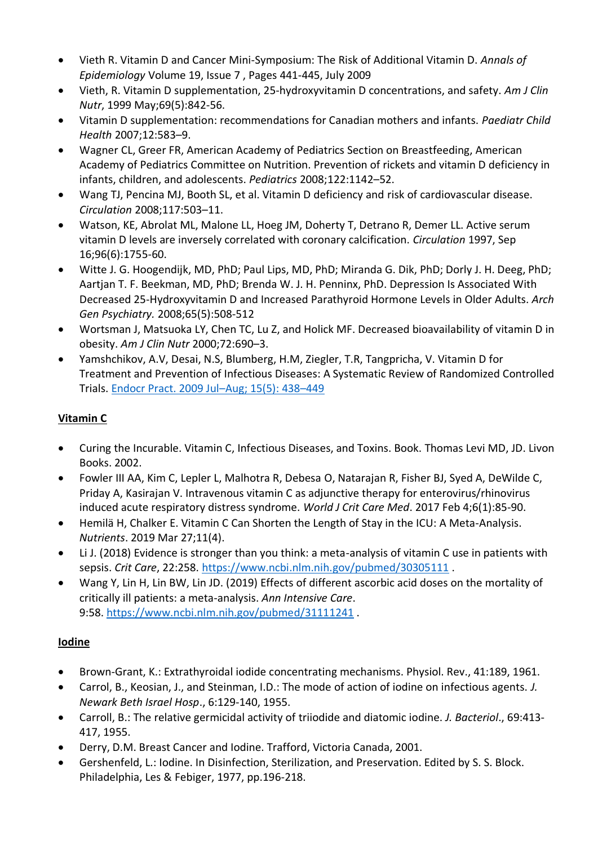- Vieth R. Vitamin D and Cancer Mini-Symposium: The Risk of Additional Vitamin D. *Annals of Epidemiology* Volume 19, Issue 7 , Pages 441-445, July 2009
- Vieth, R. Vitamin D supplementation, 25-hydroxyvitamin D concentrations, and safety. *Am J Clin Nutr*, 1999 May;69(5):842-56.
- Vitamin D supplementation: recommendations for Canadian mothers and infants. *Paediatr Child Health* 2007;12:583–9.
- Wagner CL, Greer FR, American Academy of Pediatrics Section on Breastfeeding, American Academy of Pediatrics Committee on Nutrition. Prevention of rickets and vitamin D deficiency in infants, children, and adolescents. *Pediatrics* 2008;122:1142–52.
- Wang TJ, Pencina MJ, Booth SL, et al. Vitamin D deficiency and risk of cardiovascular disease. *Circulation* 2008;117:503–11.
- Watson, KE, Abrolat ML, Malone LL, Hoeg JM, Doherty T, Detrano R, Demer LL. Active serum vitamin D levels are inversely correlated with coronary calcification. *Circulation* 1997, Sep 16;96(6):1755-60.
- Witte J. G. Hoogendijk, MD, PhD; Paul Lips, MD, PhD; Miranda G. Dik, PhD; Dorly J. H. Deeg, PhD; Aartjan T. F. Beekman, MD, PhD; Brenda W. J. H. Penninx, PhD. Depression Is Associated With Decreased 25-Hydroxyvitamin D and Increased Parathyroid Hormone Levels in Older Adults. *Arch Gen Psychiatry.* 2008;65(5):508-512
- Wortsman J, Matsuoka LY, Chen TC, Lu Z, and Holick MF. Decreased bioavailability of vitamin D in obesity. *Am J Clin Nutr* 2000;72:690–3.
- Yamshchikov, A.V, Desai, N.S, Blumberg, H.M, Ziegler, T.R, Tangpricha, V. Vitamin D for Treatment and Prevention of Infectious Diseases: A Systematic Review of Randomized Controlled Trials. [Endocr Pract. 2009 Jul](https://www.ncbi.nlm.nih.gov/pmc/articles/PMC2855046/)–Aug; 15(5): 438–449

## **Vitamin C**

- Curing the Incurable. Vitamin C, Infectious Diseases, and Toxins. Book. Thomas Levi MD, JD. Livon Books. 2002.
- Fowler III AA, Kim C, Lepler L, Malhotra R, Debesa O, Natarajan R, Fisher BJ, Syed A, DeWilde C, Priday A, Kasirajan V. Intravenous vitamin C as adjunctive therapy for enterovirus/rhinovirus induced acute respiratory distress syndrome. *World J Crit Care Med*. 2017 Feb 4;6(1):85-90.
- Hemilä H, Chalker E. Vitamin C Can Shorten the Length of Stay in the ICU: A Meta-Analysis. *Nutrients*. 2019 Mar 27;11(4).
- Li J. (2018) Evidence is stronger than you think: a meta-analysis of vitamin C use in patients with sepsis. *Crit Care*, 22:258. [https://www.ncbi.nlm.nih.gov/pubmed/30305111](https://orthomolecular.acemlna.com/lt.php?s=b002462225cc2dcfd746574957c0b503&i=145A149A1A6544) .
- Wang Y, Lin H, Lin BW, Lin JD. (2019) Effects of different ascorbic acid doses on the mortality of critically ill patients: a meta-analysis. *Ann Intensive Care*. 9:58. [https://www.ncbi.nlm.nih.gov/pubmed/31111241](https://orthomolecular.acemlna.com/lt.php?s=b002462225cc2dcfd746574957c0b503&i=145A149A1A6545) .

## **Iodine**

- Brown-Grant, K.: Extrathyroidal iodide concentrating mechanisms. Physiol. Rev., 41:189, 1961.
- Carrol, B., Keosian, J., and Steinman, I.D.: The mode of action of iodine on infectious agents. *J. Newark Beth Israel Hosp*., 6:129-140, 1955.
- Carroll, B.: The relative germicidal activity of triiodide and diatomic iodine. *J. Bacteriol*., 69:413- 417, 1955.
- Derry, D.M. Breast Cancer and Iodine. Trafford, Victoria Canada, 2001.
- Gershenfeld, L.: Iodine. In Disinfection, Sterilization, and Preservation. Edited by S. S. Block. Philadelphia, Les & Febiger, 1977, pp.196-218.